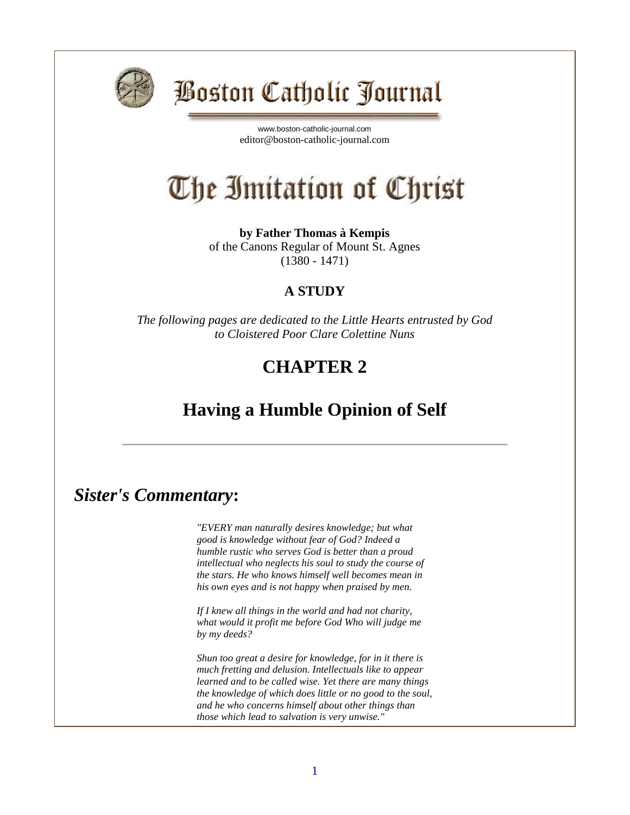

## Boston Catholic Journal

[www.boston-catholic-journal.com](http://www.boston-catholic-journal.com/) editor@boston-catholic-journal.com

# The Imitation of Christ

**by Father Thomas à Kempis** of the Canons Regular of Mount St. Agnes (1380 - 1471)

#### **A STUDY**

*The following pages are dedicated to the Little Hearts entrusted by God to Cloistered Poor Clare Colettine Nuns*

#### **CHAPTER 2**

#### **Having a Humble Opinion of Self**

#### *Sister's Commentary***:**

*"EVERY man naturally desires knowledge; but what good is knowledge without fear of God? Indeed a humble rustic who serves God is better than a proud intellectual who neglects his soul to study the course of the stars. He who knows himself well becomes mean in his own eyes and is not happy when praised by men.*

*If I knew all things in the world and had not charity, what would it profit me before God Who will judge me by my deeds?*

*Shun too great a desire for knowledge, for in it there is much fretting and delusion. Intellectuals like to appear learned and to be called wise. Yet there are many things the knowledge of which does little or no good to the soul, and he who concerns himself about other things than those which lead to salvation is very unwise."*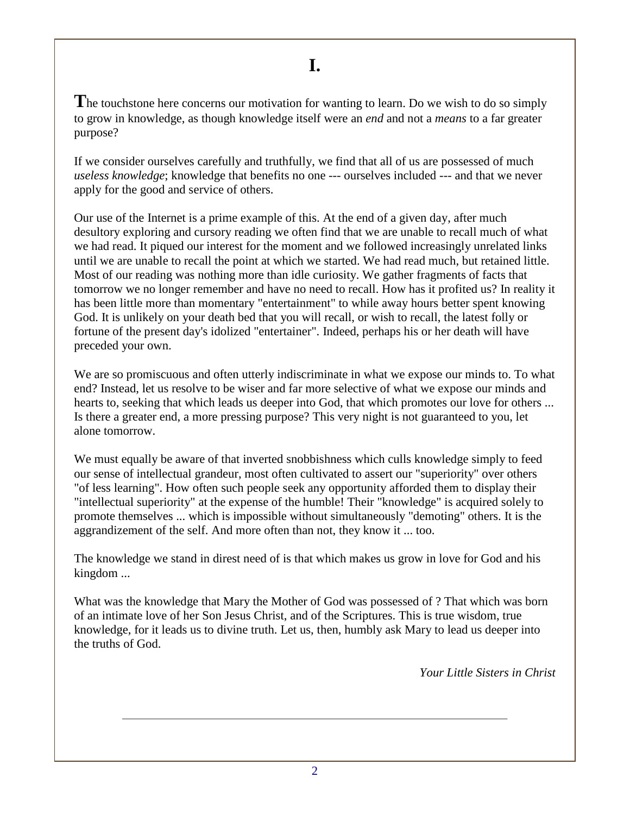The touchstone here concerns our motivation for wanting to learn. Do we wish to do so simply to grow in knowledge, as though knowledge itself were an *end* and not a *means* to a far greater purpose?

If we consider ourselves carefully and truthfully, we find that all of us are possessed of much *useless knowledge*; knowledge that benefits no one --- ourselves included --- and that we never apply for the good and service of others.

Our use of the Internet is a prime example of this. At the end of a given day, after much desultory exploring and cursory reading we often find that we are unable to recall much of what we had read. It piqued our interest for the moment and we followed increasingly unrelated links until we are unable to recall the point at which we started. We had read much, but retained little. Most of our reading was nothing more than idle curiosity. We gather fragments of facts that tomorrow we no longer remember and have no need to recall. How has it profited us? In reality it has been little more than momentary "entertainment" to while away hours better spent knowing God. It is unlikely on your death bed that you will recall, or wish to recall, the latest folly or fortune of the present day's idolized "entertainer". Indeed, perhaps his or her death will have preceded your own.

We are so promiscuous and often utterly indiscriminate in what we expose our minds to. To what end? Instead, let us resolve to be wiser and far more selective of what we expose our minds and hearts to, seeking that which leads us deeper into God, that which promotes our love for others ... Is there a greater end, a more pressing purpose? This very night is not guaranteed to you, let alone tomorrow.

We must equally be aware of that inverted snobbishness which culls knowledge simply to feed our sense of intellectual grandeur, most often cultivated to assert our "superiority" over others "of less learning". How often such people seek any opportunity afforded them to display their "intellectual superiority" at the expense of the humble! Their "knowledge" is acquired solely to promote themselves ... which is impossible without simultaneously "demoting" others. It is the aggrandizement of the self. And more often than not, they know it ... too.

The knowledge we stand in direst need of is that which makes us grow in love for God and his kingdom ...

What was the knowledge that Mary the Mother of God was possessed of ? That which was born of an intimate love of her Son Jesus Christ, and of the Scriptures. This is true wisdom, true knowledge, for it leads us to divine truth. Let us, then, humbly ask Mary to lead us deeper into the truths of God.

*Your Little Sisters in Christ*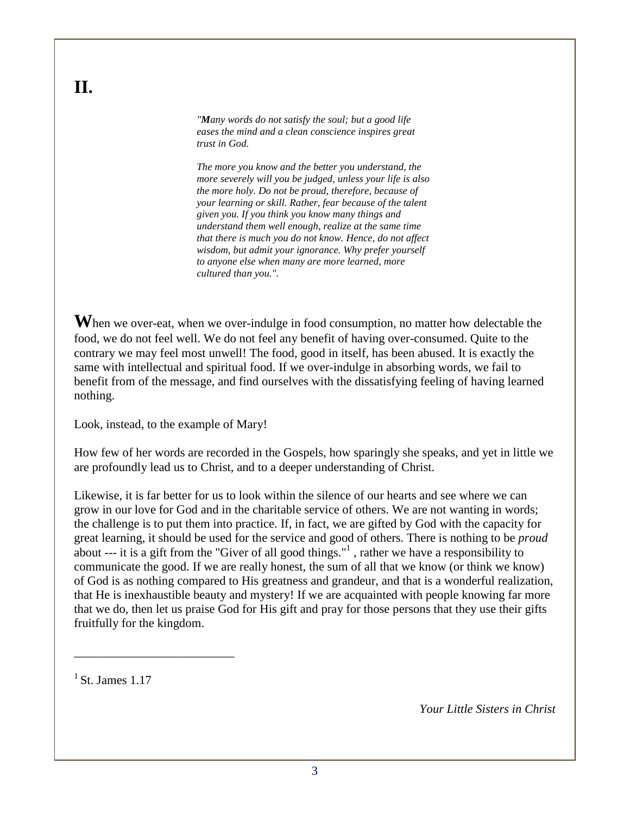*"Many words do not satisfy the soul; but a good life eases the mind and a clean conscience inspires great trust in God.*

*The more you know and the better you understand, the more severely will you be judged, unless your life is also the more holy. Do not be proud, therefore, because of your learning or skill. Rather, fear because of the talent given you. If you think you know many things and understand them well enough, realize at the same time that there is much you do not know. Hence, do not affect wisdom, but admit your ignorance. Why prefer yourself to anyone else when many are more learned, more cultured than you.".*

**W**hen we over-eat, when we over-indulge in food consumption, no matter how delectable the food, we do not feel well. We do not feel any benefit of having over-consumed. Quite to the contrary we may feel most unwell! The food, good in itself, has been abused. It is exactly the same with intellectual and spiritual food. If we over-indulge in absorbing words, we fail to benefit from of the message, and find ourselves with the dissatisfying feeling of having learned nothing.

Look, instead, to the example of Mary!

How few of her words are recorded in the Gospels, how sparingly she speaks, and yet in little we are profoundly lead us to Christ, and to a deeper understanding of Christ.

Likewise, it is far better for us to look within the silence of our hearts and see where we can grow in our love for God and in the charitable service of others. We are not wanting in words; the challenge is to put them into practice. If, in fact, we are gifted by God with the capacity for great learning, it should be used for the service and good of others. There is nothing to be *proud* about --- it is a gift from the "Giver of all good things."<sup>1</sup>, rather we have a responsibility to communicate the good. If we are really honest, the sum of all that we know (or think we know) of God is as nothing compared to His greatness and grandeur, and that is a wonderful realization, that He is inexhaustible beauty and mystery! If we are acquainted with people knowing far more that we do, then let us praise God for His gift and pray for those persons that they use their gifts fruitfully for the kingdom.

 $<sup>1</sup>$  St. James 1.17</sup>

\_\_\_\_\_\_\_\_\_\_\_\_\_\_\_\_\_\_\_\_\_\_\_\_\_\_

*Your Little Sisters in Christ*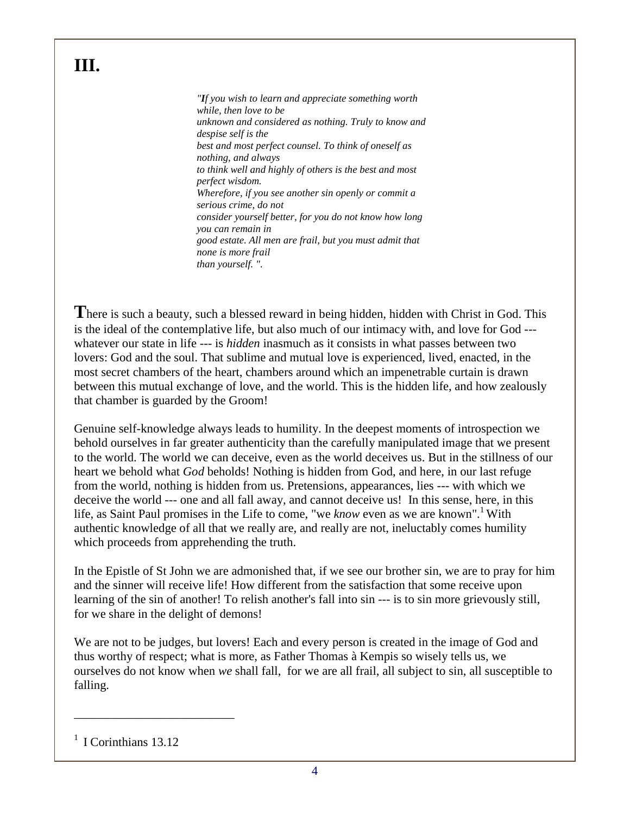### **III.**

*"If you wish to learn and appreciate something worth while, then love to be unknown and considered as nothing. Truly to know and despise self is the best and most perfect counsel. To think of oneself as nothing, and always to think well and highly of others is the best and most perfect wisdom. Wherefore, if you see another sin openly or commit a serious crime, do not consider yourself better, for you do not know how long you can remain in good estate. All men are frail, but you must admit that none is more frail than yourself. ".*

**T**here is such a beauty, such a blessed reward in being hidden, hidden with Christ in God. This is the ideal of the contemplative life, but also much of our intimacy with, and love for God -- whatever our state in life --- is *hidden* inasmuch as it consists in what passes between two lovers: God and the soul. That sublime and mutual love is experienced, lived, enacted, in the most secret chambers of the heart, chambers around which an impenetrable curtain is drawn between this mutual exchange of love, and the world. This is the hidden life, and how zealously that chamber is guarded by the Groom!

Genuine self-knowledge always leads to humility. In the deepest moments of introspection we behold ourselves in far greater authenticity than the carefully manipulated image that we present to the world. The world we can deceive, even as the world deceives us. But in the stillness of our heart we behold what *God* beholds! Nothing is hidden from God, and here, in our last refuge from the world, nothing is hidden from us. Pretensions, appearances, lies --- with which we deceive the world --- one and all fall away, and cannot deceive us! In this sense, here, in this life, as Saint Paul promises in the Life to come, "we *know* even as we are known".<sup>1</sup> With authentic knowledge of all that we really are, and really are not, ineluctably comes humility which proceeds from apprehending the truth.

In the Epistle of St John we are admonished that, if we see our brother sin, we are to pray for him and the sinner will receive life! How different from the satisfaction that some receive upon learning of the sin of another! To relish another's fall into sin --- is to sin more grievously still, for we share in the delight of demons!

We are not to be judges, but lovers! Each and every person is created in the image of God and thus worthy of respect; what is more, as Father Thomas à Kempis so wisely tells us, we ourselves do not know when *we* shall fall, for we are all frail, all subject to sin, all susceptible to falling.

\_\_\_\_\_\_\_\_\_\_\_\_\_\_\_\_\_\_\_\_\_\_\_\_\_\_

<sup>&</sup>lt;sup>1</sup> I Corinthians 13.12